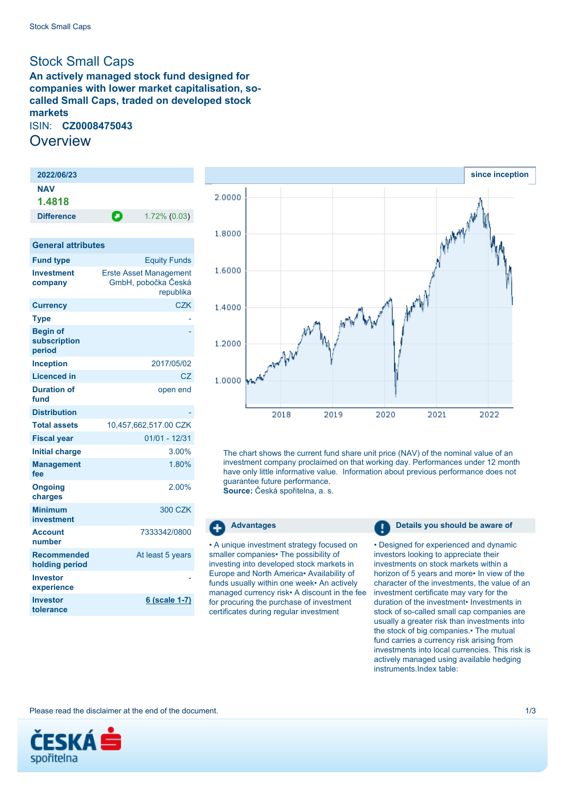# <span id="page-0-0"></span>Stock Small Caps

**An actively managed stock fund designed for companies with lower market capitalisation, socalled Small Caps, traded on developed stock markets** ISIN: **CZ0008475043 Overview** 

| 2022/06/23                                |                                                                   |  |  |
|-------------------------------------------|-------------------------------------------------------------------|--|--|
| <b>NAV</b>                                |                                                                   |  |  |
| 1.4818                                    |                                                                   |  |  |
| <b>Difference</b>                         | Θ<br>1.72% (0.03)                                                 |  |  |
|                                           |                                                                   |  |  |
| <b>General attributes</b>                 |                                                                   |  |  |
| <b>Fund type</b>                          | <b>Equity Funds</b>                                               |  |  |
| <b>Investment</b><br>company              | <b>Erste Asset Management</b><br>GmbH, pobočka Česká<br>republika |  |  |
| <b>Currency</b>                           | <b>CZK</b>                                                        |  |  |
| <b>Type</b>                               |                                                                   |  |  |
| <b>Begin of</b><br>subscription<br>period |                                                                   |  |  |
| <b>Inception</b>                          | 2017/05/02                                                        |  |  |
| <b>Licenced in</b>                        | CZ                                                                |  |  |
| <b>Duration of</b><br>fund                | open end                                                          |  |  |
| <b>Distribution</b>                       |                                                                   |  |  |
| <b>Total assets</b>                       | 10,457,662,517.00 CZK                                             |  |  |
| <b>Fiscal year</b>                        | 01/01 - 12/31                                                     |  |  |
| <b>Initial charge</b>                     | 3.00%                                                             |  |  |
| <b>Management</b><br>fee                  | 1.80%                                                             |  |  |
| <b>Ongoing</b><br>charges                 | $2.00\%$                                                          |  |  |
| <b>Minimum</b><br>investment              | 300 CZK                                                           |  |  |
| <b>Account</b><br>number                  | 7333342/0800                                                      |  |  |
| <b>Recommended</b><br>holding period      | At least 5 years                                                  |  |  |
| <b>Investor</b><br>experience             |                                                                   |  |  |
| <b>Investor</b><br>tolerance              | <u>6 (scale 1-7)</u>                                              |  |  |



The chart shows the current fund share unit price (NAV) of the nominal value of an investment company proclaimed on that working day. Performances under 12 month have only little informative value. Information about previous performance does not guarantee future performance. **Source:** Česká spořitelna, a. s.

• A unique investment strategy focused on smaller companies• The possibility of investing into developed stock markets in Europe and North America• Availability of funds usually within one week• An actively managed currency risk• A discount in the fee for procuring the purchase of investment certificates during regular investment

#### **Advantages Details you should be aware of**

• Designed for experienced and dynamic investors looking to appreciate their investments on stock markets within a horizon of 5 years and more• In view of the character of the investments, the value of an investment certificate may vary for the duration of the investment• Investments in stock of so-called small cap companies are usually a greater risk than investments into the stock of big companies.• The mutual fund carries a currency risk arising from investments into local currencies. This risk is actively managed using available hedging instruments.Index table:

Please read the disclaimer at the end of the document. 1/3

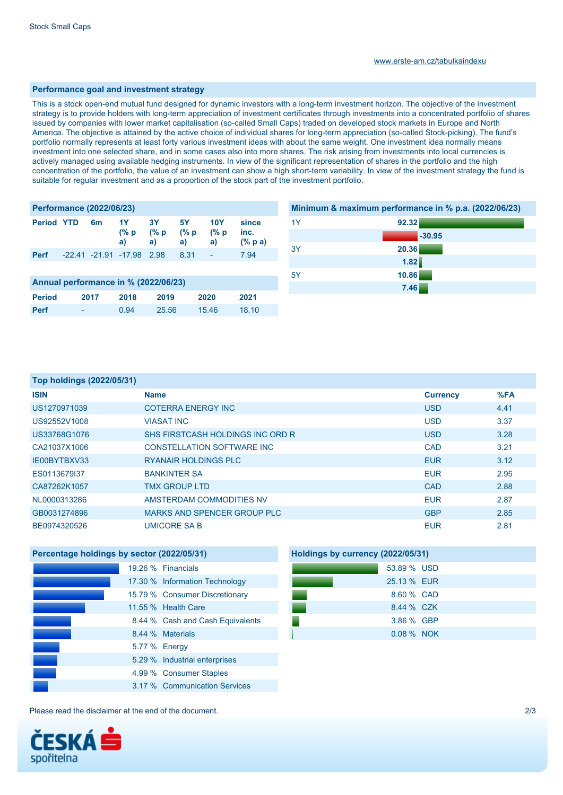#### **Performance goal and investment strategy**

This is a stock open-end mutual fund designed for dynamic investors with a long-term investment horizon. The objective of the investment strategy is to provide holders with long-term appreciation of investment certificates through investments into a concentrated portfolio of shares issued by companies with lower market capitalisation (so-called Small Caps) traded on developed stock markets in Europe and North America. The objective is attained by the active choice of individual shares for long-term appreciation (so-called Stock-picking). The fund's portfolio normally represents at least forty various investment ideas with about the same weight. One investment idea normally means investment into one selected share, and in some cases also into more shares. The risk arising from investments into local currencies is actively managed using available hedging instruments. In view of the significant representation of shares in the portfolio and the high concentration of the portfolio, the value of an investment can show a high short-term variability. In view of the investment strategy the fund is suitable for regular investment and as a proportion of the stock part of the investment portfolio.

| <b>Performance (2022/06/23)</b>      |  |    |                                 |                       |                   |                          |                             |
|--------------------------------------|--|----|---------------------------------|-----------------------|-------------------|--------------------------|-----------------------------|
| <b>Period YTD</b>                    |  | 6m | 1Y<br>a)                        | 3Y<br>(% p (% p<br>a) | 5Y<br>(% p)<br>a) | <b>10Y</b><br>(% p<br>a) | since<br>inc.<br>$(\%$ p a) |
| <b>Perf</b>                          |  |    | $-22.41$ $-21.91$ $-17.98$ 2.98 |                       | 8.31              | Ser S                    | 7.94                        |
|                                      |  |    |                                 |                       |                   |                          |                             |
| Annual performance in % (2022/06/23) |  |    |                                 |                       |                   |                          |                             |

| Alliudi performance in 70 (2022/00/20) |      |      |       |       |       |
|----------------------------------------|------|------|-------|-------|-------|
| Period                                 | 2017 | 2018 | 2019  | 2020  | 2021  |
| <b>Perf</b>                            | . .  | 0.94 | 25.56 | 15.46 | 18.10 |

## **Minimum & maximum performance in % p.a. (2022/06/23)**

| 1Y | 92.32    |
|----|----------|
|    | $-30.95$ |
| 3Y | 20.36    |
|    | 1.82     |
| 5Y | 10.86    |
|    | 7.46     |

### **Top holdings (2022/05/31)**

| <b>ISIN</b>  | <b>Name</b>                        | <b>Currency</b> | %FA  |
|--------------|------------------------------------|-----------------|------|
| US1270971039 | <b>COTERRA ENERGY INC</b>          | <b>USD</b>      | 4.41 |
| US92552V1008 | <b>VIASAT INC</b>                  | <b>USD</b>      | 3.37 |
| US33768G1076 | SHS FIRSTCASH HOLDINGS INC ORD R   | <b>USD</b>      | 3.28 |
| CA21037X1006 | <b>CONSTELLATION SOFTWARE INC.</b> | <b>CAD</b>      | 3.21 |
| IE00BYTBXV33 | <b>RYANAIR HOLDINGS PLC</b>        | <b>EUR</b>      | 3.12 |
| ES0113679I37 | <b>BANKINTER SA</b>                | <b>EUR</b>      | 2.95 |
| CA87262K1057 | <b>TMX GROUP LTD</b>               | <b>CAD</b>      | 2.88 |
| NL0000313286 | AMSTERDAM COMMODITIES NV           | <b>EUR</b>      | 2.87 |
| GB0031274896 | MARKS AND SPENCER GROUP PLC        | <b>GBP</b>      | 2.85 |
| BE0974320526 | UMICORE SA B                       | <b>EUR</b>      | 2.81 |

# **Percentage holdings by sector (2022/05/31)**

|  | 19.26 % Financials               |
|--|----------------------------------|
|  | 17.30 % Information Technology   |
|  | 15.79 % Consumer Discretionary   |
|  | 11.55 % Health Care              |
|  | 8.44 % Cash and Cash Equivalents |
|  | 8.44 % Materials                 |
|  | 5.77 % Energy                    |
|  | 5.29 % Industrial enterprises    |
|  | 4.99 % Consumer Staples          |
|  | 3.17 % Communication Services    |

## **Holdings by currency (2022/05/31)**

|  | 53.89 % USD |  |
|--|-------------|--|
|  | 25.13 % EUR |  |
|  | 8.60 % CAD  |  |
|  | 8.44 % CZK  |  |
|  | 3.86 % GBP  |  |
|  | 0.08 % NOK  |  |

Please read the disclaimer at the end of the document. 2/3